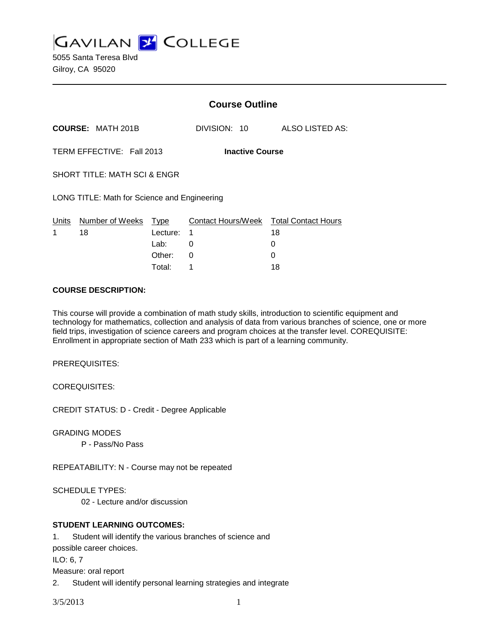**GAVILAN 2 COLLEGE** 

5055 Santa Teresa Blvd Gilroy, CA 95020

|                                              |                           | <b>Course Outline</b>   |                        |  |                                              |
|----------------------------------------------|---------------------------|-------------------------|------------------------|--|----------------------------------------------|
|                                              | <b>COURSE: MATH 201B</b>  |                         | DIVISION: 10           |  | ALSO LISTED AS:                              |
|                                              | TERM EFFECTIVE: Fall 2013 |                         | <b>Inactive Course</b> |  |                                              |
| <b>SHORT TITLE: MATH SCI &amp; ENGR</b>      |                           |                         |                        |  |                                              |
| LONG TITLE: Math for Science and Engineering |                           |                         |                        |  |                                              |
| Units<br>1                                   | Number of Weeks<br>18     | <u>Type</u><br>Lecture: | 1                      |  | Contact Hours/Week Total Contact Hours<br>18 |
|                                              |                           | Lab:                    | 0                      |  | 0                                            |
|                                              |                           | Other:                  | 0                      |  |                                              |

Total: 1 18

#### **COURSE DESCRIPTION:**

This course will provide a combination of math study skills, introduction to scientific equipment and technology for mathematics, collection and analysis of data from various branches of science, one or more field trips, investigation of science careers and program choices at the transfer level. COREQUISITE: Enrollment in appropriate section of Math 233 which is part of a learning community.

PREREQUISITES:

COREQUISITES:

CREDIT STATUS: D - Credit - Degree Applicable

GRADING MODES

P - Pass/No Pass

REPEATABILITY: N - Course may not be repeated

SCHEDULE TYPES:

02 - Lecture and/or discussion

#### **STUDENT LEARNING OUTCOMES:**

1. Student will identify the various branches of science and possible career choices. ILO: 6, 7 Measure: oral report 2. Student will identify personal learning strategies and integrate

3/5/2013 1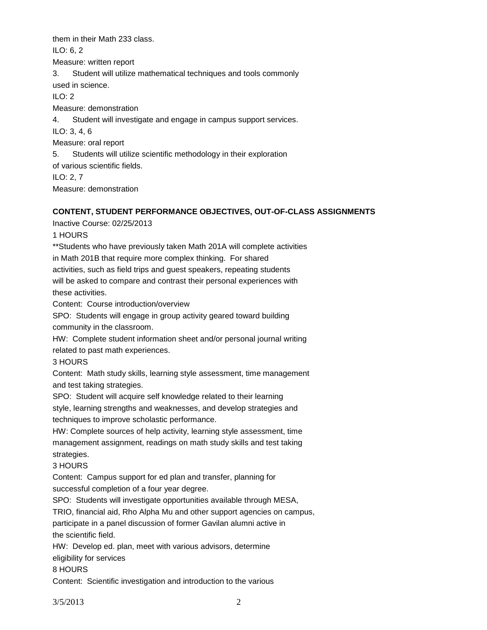them in their Math 233 class.

ILO: 6, 2

Measure: written report

3. Student will utilize mathematical techniques and tools commonly used in science.

ILO: 2

Measure: demonstration

4. Student will investigate and engage in campus support services.

ILO: 3, 4, 6

Measure: oral report

5. Students will utilize scientific methodology in their exploration

of various scientific fields.

ILO: 2, 7

Measure: demonstration

## **CONTENT, STUDENT PERFORMANCE OBJECTIVES, OUT-OF-CLASS ASSIGNMENTS**

Inactive Course: 02/25/2013

1 HOURS

\*\*Students who have previously taken Math 201A will complete activities in Math 201B that require more complex thinking. For shared activities, such as field trips and guest speakers, repeating students will be asked to compare and contrast their personal experiences with

these activities.

Content: Course introduction/overview

SPO: Students will engage in group activity geared toward building community in the classroom.

HW: Complete student information sheet and/or personal journal writing related to past math experiences.

## 3 HOURS

Content: Math study skills, learning style assessment, time management and test taking strategies.

SPO: Student will acquire self knowledge related to their learning

style, learning strengths and weaknesses, and develop strategies and techniques to improve scholastic performance.

HW: Complete sources of help activity, learning style assessment, time management assignment, readings on math study skills and test taking strategies.

# 3 HOURS

Content: Campus support for ed plan and transfer, planning for successful completion of a four year degree.

SPO: Students will investigate opportunities available through MESA,

TRIO, financial aid, Rho Alpha Mu and other support agencies on campus, participate in a panel discussion of former Gavilan alumni active in the scientific field.

HW: Develop ed. plan, meet with various advisors, determine eligibility for services

## 8 HOURS

Content: Scientific investigation and introduction to the various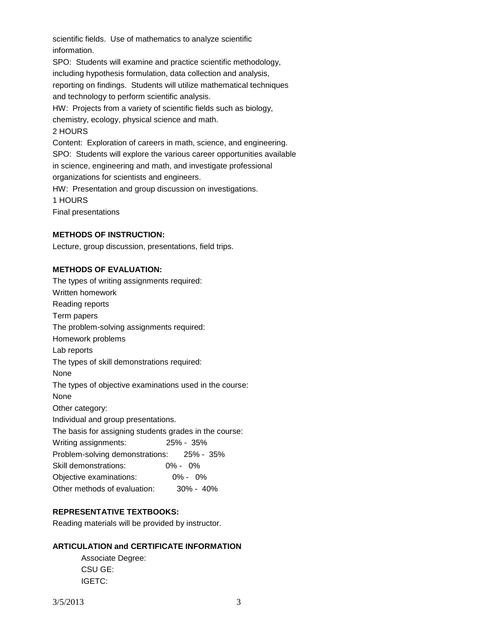scientific fields. Use of mathematics to analyze scientific information. SPO: Students will examine and practice scientific methodology, including hypothesis formulation, data collection and analysis, reporting on findings. Students will utilize mathematical techniques

and technology to perform scientific analysis.

HW: Projects from a variety of scientific fields such as biology,

chemistry, ecology, physical science and math.

#### 2 HOURS

Content: Exploration of careers in math, science, and engineering. SPO: Students will explore the various career opportunities available in science, engineering and math, and investigate professional organizations for scientists and engineers.

HW: Presentation and group discussion on investigations.

1 HOURS

Final presentations

#### **METHODS OF INSTRUCTION:**

Lecture, group discussion, presentations, field trips.

#### **METHODS OF EVALUATION:**

The types of writing assignments required: Written homework Reading reports Term papers The problem-solving assignments required: Homework problems Lab reports The types of skill demonstrations required: None The types of objective examinations used in the course: None Other category: Individual and group presentations. The basis for assigning students grades in the course: Writing assignments: 25% - 35% Problem-solving demonstrations: 25% - 35% Skill demonstrations: 0% - 0% Objective examinations: 0% - 0% Other methods of evaluation: 30% - 40%

#### **REPRESENTATIVE TEXTBOOKS:**

Reading materials will be provided by instructor.

#### **ARTICULATION and CERTIFICATE INFORMATION**

Associate Degree: CSU GE: IGETC: